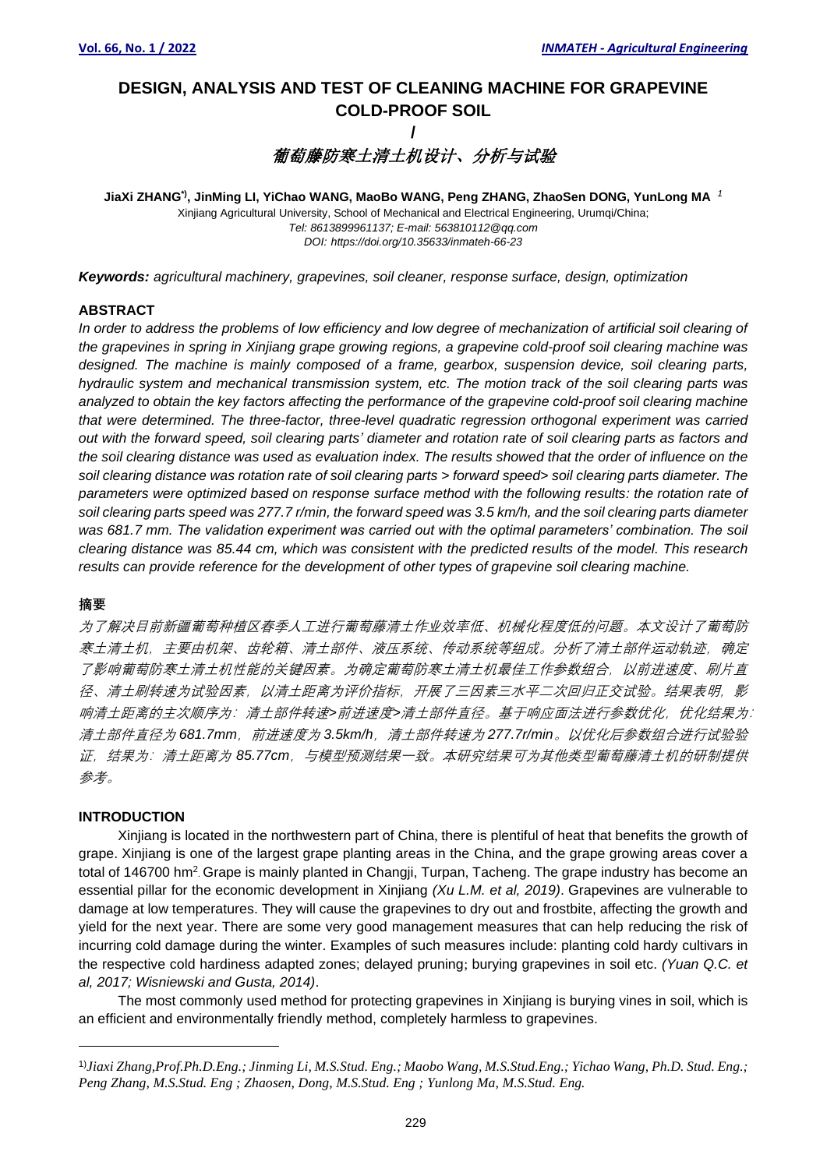## **DESIGN, ANALYSIS AND TEST OF CLEANING MACHINE FOR GRAPEVINE COLD-PROOF SOIL /**

# 葡萄藤防寒土清土机设计、分析与试验

**JiaXi ZHANG\*) , JinMing LI, YiChao WANG, MaoBo WANG, Peng ZHANG, ZhaoSen DONG, YunLong MA** *<sup>1</sup>* Xinjiang Agricultural University, School of Mechanical and Electrical Engineering, Urumqi/China; *Tel: 8613899961137; E-mail: 563810112@qq.com DOI: https://doi.org/10.35633/inmateh-66-23*

*Keywords: agricultural machinery, grapevines, soil cleaner, response surface, design, optimization*

#### **ABSTRACT**

In order to address the problems of low efficiency and low degree of mechanization of artificial soil clearing of *the grapevines in spring in Xinjiang grape growing regions, a grapevine cold-proof soil clearing machine was designed. The machine is mainly composed of a frame, gearbox, suspension device, soil clearing parts, hydraulic system and mechanical transmission system, etc. The motion track of the soil clearing parts was analyzed to obtain the key factors affecting the performance of the grapevine cold-proof soil clearing machine that were determined. The three-factor, three-level quadratic regression orthogonal experiment was carried out with the forward speed, soil clearing parts' diameter and rotation rate of soil clearing parts as factors and the soil clearing distance was used as evaluation index. The results showed that the order of influence on the soil clearing distance was rotation rate of soil clearing parts > forward speed> soil clearing parts diameter. The parameters were optimized based on response surface method with the following results: the rotation rate of soil clearing parts speed was 277.7 r/min, the forward speed was 3.5 km/h, and the soil clearing parts diameter*  was 681.7 mm. The validation experiment was carried out with the optimal parameters' combination. The soil *clearing distance was 85.44 cm, which was consistent with the predicted results of the model. This research results can provide reference for the development of other types of grapevine soil clearing machine.*

#### **摘要**

为了解决目前新疆葡萄种植区春季人工进行葡萄藤清土作业效率低、机械化程度低的问题。本文设计了葡萄防 寒土清土机,主要由机架、齿轮箱、清土部件、液压系统、传动系统等组成。分析了清土部件运动轨迹,确定 了影响葡萄防寒土清土机性能的关键因素。为确定葡萄防寒土清土机最佳工作参数组合,以前进速度、刷片直 径、清土刷转速为试验因素,以清土距离为评价指标,开展了三因素三水平二次回归正交试验。结果表明,影 响清土距离的主次顺序为:清土部件转速*>*前进速度*>*清土部件直径。基于响应面法进行参数优化,优化结果为: 清土部件直径为 681.7mm,前进速度为 3.5km/h,清土部件转速为 277.7r/min。以优化后参数组合进行试验验 证,结果为:清土距离为 *85.77cm*,与模型预测结果一致。本研究结果可为其他类型葡萄藤清土机的研制提供 参考。

#### **INTRODUCTION**

Xinjiang is located in the northwestern part of China, there is plentiful of heat that benefits the growth of grape. Xinjiang is one of the largest grape planting areas in the China, and the grape growing areas cover a total of 146700 hm<sup>2</sup> Grape is mainly planted in Changji, Turpan, Tacheng. The grape industry has become an essential pillar for the economic development in Xinjiang *(Xu L.M. et al, 2019)*. Grapevines are vulnerable to damage at low temperatures. They will cause the grapevines to dry out and frostbite, affecting the growth and yield for the next year. There are some very good management measures that can help reducing the risk of incurring cold damage during the winter. Examples of such measures include: planting cold hardy cultivars in the respective cold hardiness adapted zones; delayed pruning; burying grapevines in soil etc. *(Yuan Q.C. et al, 2017; Wisniewski and Gusta, 2014)*.

The most commonly used method for protecting grapevines in Xinjiang is burying vines in soil, which is an efficient and environmentally friendly method, completely harmless to grapevines.

<sup>1)</sup>*Jiaxi Zhang,Prof.Ph.D.Eng.; Jinming Li, M.S.Stud. Eng.; Maobo Wang, M.S.Stud.Eng.; Yichao Wang, Ph.D. Stud. Eng.; Peng Zhang, M.S.Stud. Eng ; Zhaosen, Dong, M.S.Stud. Eng ; Yunlong Ma, M.S.Stud. Eng.*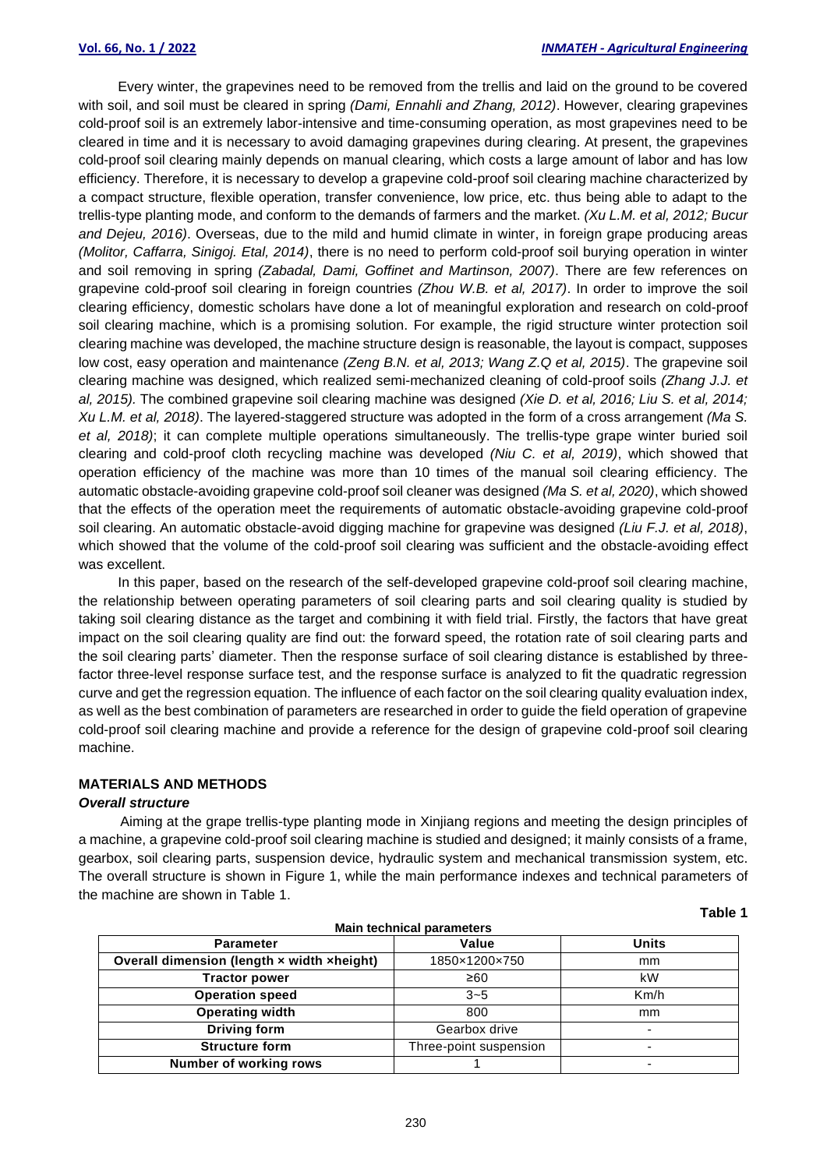Every winter, the grapevines need to be removed from the trellis and laid on the ground to be covered with soil, and soil must be cleared in spring *(Dami, Ennahli and Zhang, 2012)*. However, clearing grapevines cold-proof soil is an extremely labor-intensive and time-consuming operation, as most grapevines need to be cleared in time and it is necessary to avoid damaging grapevines during clearing. At present, the grapevines cold-proof soil clearing mainly depends on manual clearing, which costs a large amount of labor and has low efficiency. Therefore, it is necessary to develop a grapevine cold-proof soil clearing machine characterized by a compact structure, flexible operation, transfer convenience, low price, etc. thus being able to adapt to the trellis-type planting mode, and conform to the demands of farmers and the market. *(Xu L.M. et al, 2012; Bucur and Dejeu, 2016)*. Overseas, due to the mild and humid climate in winter, in foreign grape producing areas *(Molitor, Caffarra, Sinigoj. Etal, 2014)*, there is no need to perform cold-proof soil burying operation in winter and soil removing in spring *(Zabadal, Dami, Goffinet and Martinson, 2007)*. There are few references on grapevine cold-proof soil clearing in foreign countries *(Zhou W.B. et al, 2017)*. In order to improve the soil clearing efficiency, domestic scholars have done a lot of meaningful exploration and research on cold-proof soil clearing machine, which is a promising solution. For example, the rigid structure winter protection soil clearing machine was developed, the machine structure design is reasonable, the layout is compact, supposes low cost, easy operation and maintenance *(Zeng B.N. et al, 2013; Wang Z.Q et al, 2015)*. The grapevine soil clearing machine was designed, which realized semi-mechanized cleaning of cold-proof soils *(Zhang J.J. et al, 2015).* The combined grapevine soil clearing machine was designed *(Xie D. et al, 2016; Liu S. et al, 2014; Xu L.M. et al, 2018)*. The layered-staggered structure was adopted in the form of a cross arrangement *(Ma S. et al, 2018)*; it can complete multiple operations simultaneously. The trellis-type grape winter buried soil clearing and cold-proof cloth recycling machine was developed *(Niu C. et al, 2019)*, which showed that operation efficiency of the machine was more than 10 times of the manual soil clearing efficiency. The automatic obstacle-avoiding grapevine cold-proof soil cleaner was designed *(Ma S. et al, 2020)*, which showed that the effects of the operation meet the requirements of automatic obstacle-avoiding grapevine cold-proof soil clearing. An automatic obstacle-avoid digging machine for grapevine was designed *(Liu F.J. et al, 2018)*, which showed that the volume of the cold-proof soil clearing was sufficient and the obstacle-avoiding effect was excellent.

In this paper, based on the research of the self-developed grapevine cold-proof soil clearing machine, the relationship between operating parameters of soil clearing parts and soil clearing quality is studied by taking soil clearing distance as the target and combining it with field trial. Firstly, the factors that have great impact on the soil clearing quality are find out: the forward speed, the rotation rate of soil clearing parts and the soil clearing parts' diameter. Then the response surface of soil clearing distance is established by threefactor three-level response surface test, and the response surface is analyzed to fit the quadratic regression curve and get the regression equation. The influence of each factor on the soil clearing quality evaluation index, as well as the best combination of parameters are researched in order to guide the field operation of grapevine cold-proof soil clearing machine and provide a reference for the design of grapevine cold-proof soil clearing machine.

### **MATERIALS AND METHODS**

#### *Overall structure*

Aiming at the grape trellis-type planting mode in Xinjiang regions and meeting the design principles of a machine, a grapevine cold-proof soil clearing machine is studied and designed; it mainly consists of a frame, gearbox, soil clearing parts, suspension device, hydraulic system and mechanical transmission system, etc. The overall structure is shown in Figure 1, while the main performance indexes and technical parameters of the machine are shown in Table 1.

| <b>Main technical parameters</b>           |                        |                          |  |  |  |  |
|--------------------------------------------|------------------------|--------------------------|--|--|--|--|
| <b>Parameter</b>                           | Value                  | <b>Units</b>             |  |  |  |  |
| Overall dimension (length x width xheight) | 1850×1200×750          | mm                       |  |  |  |  |
| <b>Tractor power</b>                       | ≥60                    | kW                       |  |  |  |  |
| <b>Operation speed</b>                     | $3 - 5$                | Km/h                     |  |  |  |  |
| <b>Operating width</b>                     | 800                    | mm                       |  |  |  |  |
| Driving form                               | Gearbox drive          | -                        |  |  |  |  |
| <b>Structure form</b>                      | Three-point suspension |                          |  |  |  |  |
| Number of working rows                     |                        | $\overline{\phantom{0}}$ |  |  |  |  |

**Table 1**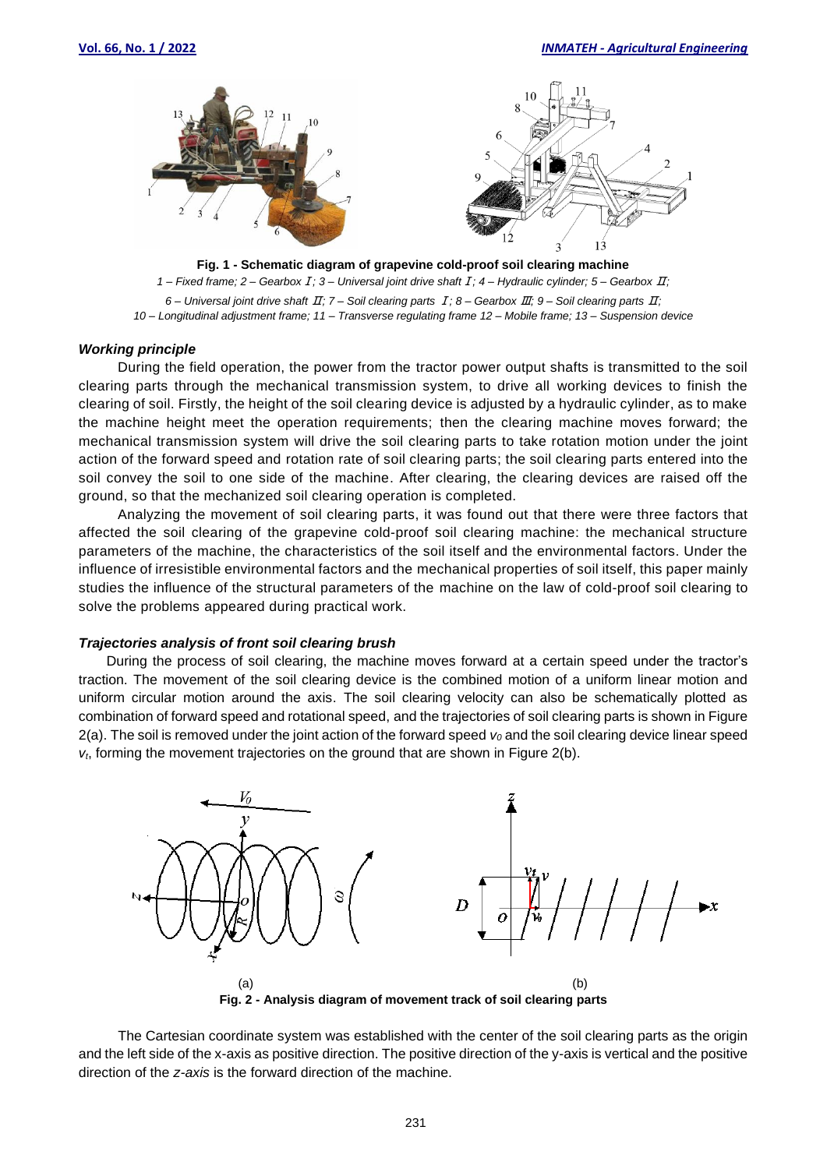



*1 – Fixed frame; 2 – Gearbox*Ⅰ*; 3 – Universal joint drive shaft*Ⅰ*; 4 – Hydraulic cylinder; 5 – Gearbox* Ⅱ*;* 

*6 – Universal joint drive shaft* Ⅱ*; 7 – Soil clearing parts* Ⅰ*; 8 – Gearbox* Ⅲ*; 9 – Soil clearing parts* Ⅱ*; 10 – Longitudinal adjustment frame; 11 – Transverse regulating frame 12 – Mobile frame; 13 – Suspension device*

#### *Working principle*

During the field operation, the power from the tractor power output shafts is transmitted to the soil clearing parts through the mechanical transmission system, to drive all working devices to finish the clearing of soil. Firstly, the height of the soil clearing device is adjusted by a hydraulic cylinder, as to make the machine height meet the operation requirements; then the clearing machine moves forward; the mechanical transmission system will drive the soil clearing parts to take rotation motion under the joint action of the forward speed and rotation rate of soil clearing parts; the soil clearing parts entered into the soil convey the soil to one side of the machine. After clearing, the clearing devices are raised off the ground, so that the mechanized soil clearing operation is completed.

Analyzing the movement of soil clearing parts, it was found out that there were three factors that affected the soil clearing of the grapevine cold-proof soil clearing machine: the mechanical structure parameters of the machine, the characteristics of the soil itself and the environmental factors. Under the influence of irresistible environmental factors and the mechanical properties of soil itself, this paper mainly studies the influence of the structural parameters of the machine on the law of cold-proof soil clearing to solve the problems appeared during practical work.

#### *Trajectories analysis of front soil clearing brush*

During the process of soil clearing, the machine moves forward at a certain speed under the tractor's traction. The movement of the soil clearing device is the combined motion of a uniform linear motion and uniform circular motion around the axis. The soil clearing velocity can also be schematically plotted as combination of forward speed and rotational speed, and the trajectories of soil clearing parts is shown in Figure 2(a). The soil is removed under the joint action of the forward speed *v<sup>0</sup>* and the soil clearing device linear speed *vt*, forming the movement trajectories on the ground that are shown in Figure 2(b).



The Cartesian coordinate system was established with the center of the soil clearing parts as the origin and the left side of the x-axis as positive direction. The positive direction of the y-axis is vertical and the positive direction of the *z-axis* is the forward direction of the machine.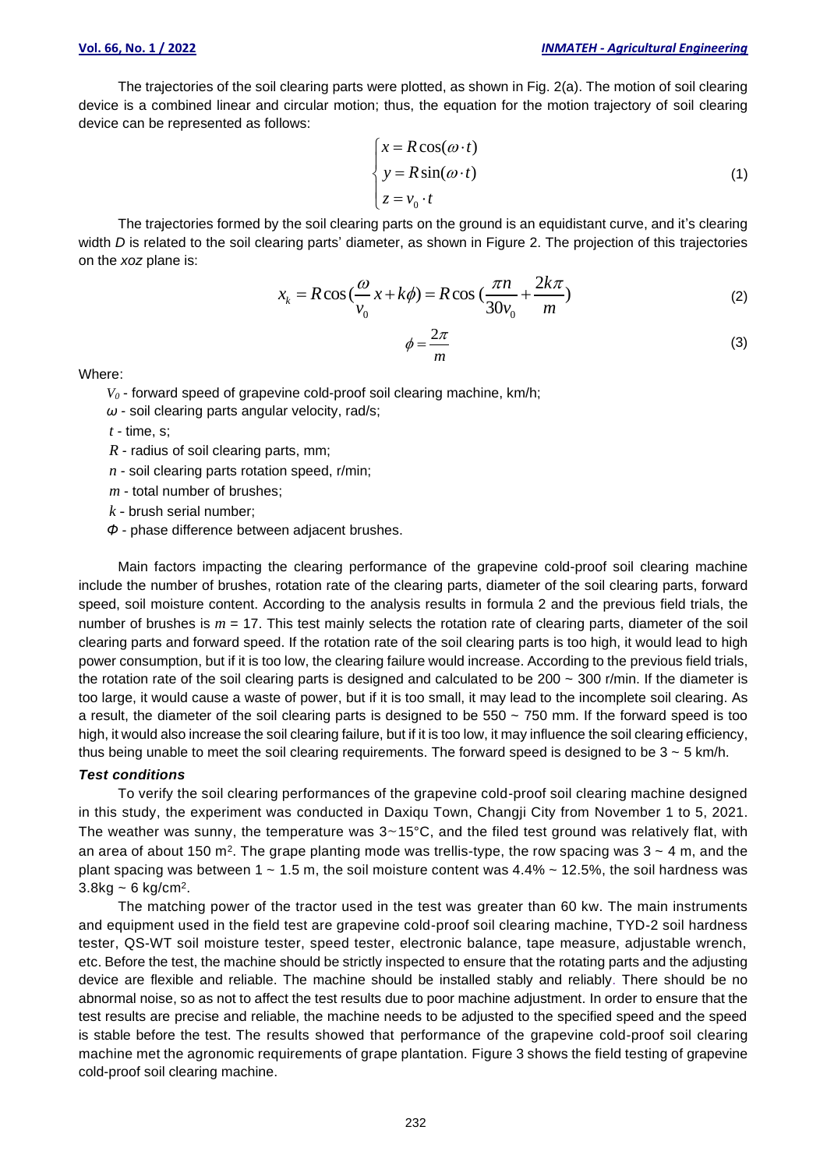The trajectories of the soil clearing parts were plotted, as shown in Fig. 2(a). The motion of soil clearing device is a combined linear and circular motion; thus, the equation for the motion trajectory of soil clearing device can be represented as follows:

$$
\begin{cases}\n x = R \cos(\omega \cdot t) \\
 y = R \sin(\omega \cdot t) \\
 z = v_0 \cdot t\n\end{cases}
$$
\n(1)

The trajectories formed by the soil clearing parts on the ground is an equidistant curve, and it's clearing width *D* is related to the soil clearing parts' diameter, as shown in Figure 2. The projection of this trajectories on the *xoz* plane is:

$$
x_k = R\cos\left(\frac{\omega}{v_0}x + k\phi\right) = R\cos\left(\frac{\pi n}{30v_0} + \frac{2k\pi}{m}\right)
$$
 (2)

$$
\phi = \frac{2\pi}{m} \tag{3}
$$

Where:

 $V<sub>0</sub>$  - forward speed of grapevine cold-proof soil clearing machine, km/h;

*ω* - soil clearing parts angular velocity, rad/s;

*t* - time, s;

*R* - radius of soil clearing parts, mm;

*n* - soil clearing parts rotation speed, r/min;

*m* - total number of brushes;

*k* - brush serial number;

*Φ* - phase difference between adjacent brushes.

Main factors impacting the clearing performance of the grapevine cold-proof soil clearing machine include the number of brushes, rotation rate of the clearing parts, diameter of the soil clearing parts, forward speed, soil moisture content. According to the analysis results in formula 2 and the previous field trials, the number of brushes is  $m = 17$ . This test mainly selects the rotation rate of clearing parts, diameter of the soil clearing parts and forward speed. If the rotation rate of the soil clearing parts is too high, it would lead to high power consumption, but if it is too low, the clearing failure would increase. According to the previous field trials, the rotation rate of the soil clearing parts is designed and calculated to be  $200 \sim 300$  r/min. If the diameter is too large, it would cause a waste of power, but if it is too small, it may lead to the incomplete soil clearing. As a result, the diameter of the soil clearing parts is designed to be 550 ~ 750 mm. If the forward speed is too high, it would also increase the soil clearing failure, but if it is too low, it may influence the soil clearing efficiency, thus being unable to meet the soil clearing requirements. The forward speed is designed to be  $3 \sim 5$  km/h.

#### *Test conditions*

To verify the soil clearing performances of the grapevine cold-proof soil clearing machine designed in this study, the experiment was conducted in Daxiqu Town, Changji City from November 1 to 5, 2021. The weather was sunny, the temperature was  $3~15^{\circ}$ C, and the filed test ground was relatively flat, with an area of about 150 m<sup>2</sup>. The grape planting mode was trellis-type, the row spacing was 3 ~ 4 m, and the plant spacing was between 1  $\sim$  1.5 m, the soil moisture content was 4.4%  $\sim$  12.5%, the soil hardness was  $3.8$ kg ~ 6 kg/cm<sup>2</sup>.

The matching power of the tractor used in the test was greater than 60 kw. The main instruments and equipment used in the field test are grapevine cold-proof soil clearing machine, TYD-2 soil hardness tester, QS-WT soil moisture tester, speed tester, electronic balance, tape measure, adjustable wrench, etc. Before the test, the machine should be strictly inspected to ensure that the rotating parts and the adjusting device are flexible and reliable. The machine should be installed stably and reliably. There should be no abnormal noise, so as not to affect the test results due to poor machine adjustment. In order to ensure that the test results are precise and reliable, the machine needs to be adjusted to the specified speed and the speed is stable before the test. The results showed that performance of the grapevine cold-proof soil clearing machine met the agronomic requirements of grape plantation. Figure 3 shows the field testing of grapevine cold-proof soil clearing machine.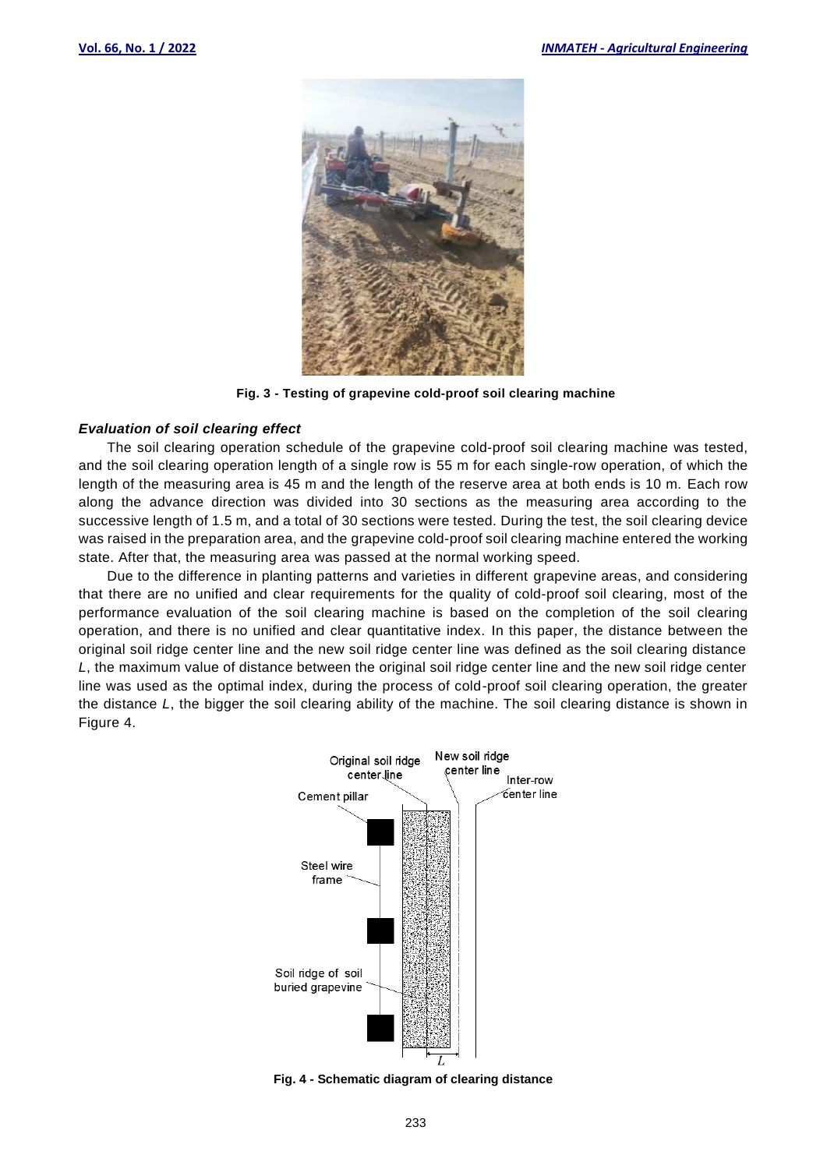

**Fig. 3 - Testing of grapevine cold-proof soil clearing machine**

#### *Evaluation of soil clearing effect*

The soil clearing operation schedule of the grapevine cold-proof soil clearing machine was tested, and the soil clearing operation length of a single row is 55 m for each single-row operation, of which the length of the measuring area is 45 m and the length of the reserve area at both ends is 10 m. Each row along the advance direction was divided into 30 sections as the measuring area according to the successive length of 1.5 m, and a total of 30 sections were tested. During the test, the soil clearing device was raised in the preparation area, and the grapevine cold-proof soil clearing machine entered the working state. After that, the measuring area was passed at the normal working speed.

Due to the difference in planting patterns and varieties in different grapevine areas, and considering that there are no unified and clear requirements for the quality of cold-proof soil clearing, most of the performance evaluation of the soil clearing machine is based on the completion of the soil clearing operation, and there is no unified and clear quantitative index. In this paper, the distance between the original soil ridge center line and the new soil ridge center line was defined as the soil clearing distance *L*, the maximum value of distance between the original soil ridge center line and the new soil ridge center line was used as the optimal index, during the process of cold-proof soil clearing operation, the greater the distance *L*, the bigger the soil clearing ability of the machine. The soil clearing distance is shown in Figure 4.



**Fig. 4 - Schematic diagram of clearing distance**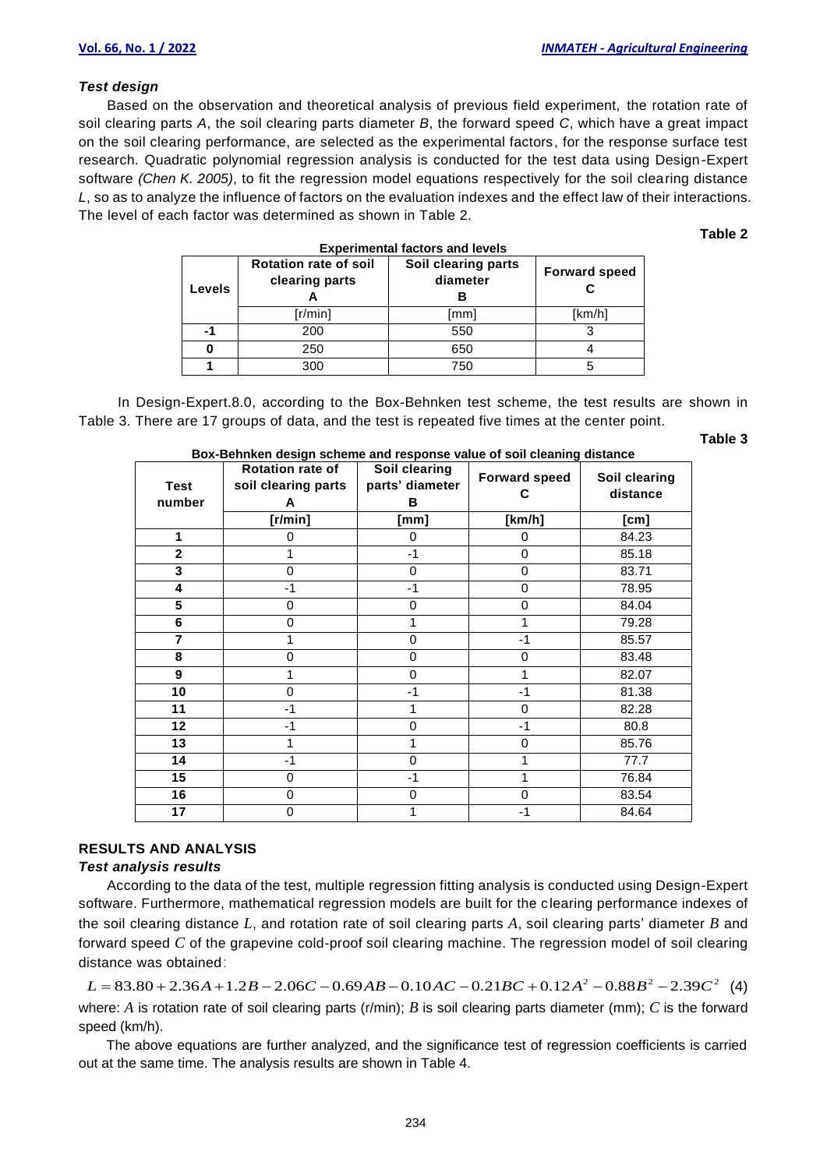#### *Test design*

Based on the observation and theoretical analysis of previous field experiment, the rotation rate of soil clearing parts *A*, the soil clearing parts diameter *B*, the forward speed *C*, which have a great impact on the soil clearing performance, are selected as the experimental factors, for the response surface test research. Quadratic polynomial regression analysis is conducted for the test data using Design-Expert software *(Chen K. 2005)*, to fit the regression model equations respectively for the soil clearing distance *L*, so as to analyze the influence of factors on the evaluation indexes and the effect law of their interactions. The level of each factor was determined as shown in Table 2.

#### **Table 2**

| Levels | <b>Rotation rate of soil</b><br>clearing parts | Soil clearing parts<br>diameter | <b>Forward speed</b> |
|--------|------------------------------------------------|---------------------------------|----------------------|
|        | [r/min]                                        | [mm]                            | [km/h]               |
| -1     | 200                                            | 550                             |                      |
| 0      | 250                                            | 650                             |                      |
|        | 300                                            | 750                             |                      |

#### **Experimental factors and levels**

In Design-Expert.8.0, according to the Box-Behnken test scheme, the test results are shown in Table 3. There are 17 groups of data, and the test is repeated five times at the center point.

#### **Table 3**

| <b>Test</b><br>number | Rotation rate of<br>soil clearing parts<br>A | Soil clearing<br>parts' diameter<br>в | <b>Forward speed</b> | Soil clearing<br>distance |
|-----------------------|----------------------------------------------|---------------------------------------|----------------------|---------------------------|
|                       | [r/min]                                      | [mm]                                  | [km/h]               | [cm]                      |
| 1                     | O                                            | 0                                     | 0                    | 84.23                     |
| $\overline{2}$        |                                              | $-1$                                  | 0                    | 85.18                     |
| 3                     | $\Omega$                                     | 0                                     | 0                    | 83.71                     |
| 4                     | $-1$                                         | $-1$                                  | 0                    | 78.95                     |
| 5                     | 0                                            | 0                                     | 0                    | 84.04                     |
| 6                     | $\Omega$                                     |                                       | 1                    | 79.28                     |
| 7                     |                                              | 0                                     | $-1$                 | 85.57                     |
| 8                     | $\Omega$                                     | $\Omega$                              | $\mathbf 0$          | 83.48                     |
| 9                     |                                              | $\Omega$                              | 1                    | 82.07                     |
| 10                    | $\mathbf 0$                                  | $-1$                                  | $-1$                 | 81.38                     |
| 11                    | $-1$                                         |                                       | 0                    | 82.28                     |
| 12                    | $-1$                                         | $\Omega$                              | $-1$                 | 80.8                      |
| 13                    |                                              |                                       | 0                    | 85.76                     |
| 14                    | $-1$                                         | $\Omega$                              | 1                    | 77.7                      |
| 15                    | 0                                            | $-1$                                  | 1                    | 76.84                     |
| 16                    | $\Omega$                                     | $\Omega$                              | 0                    | 83.54                     |
| 17                    | 0                                            |                                       | -1                   | 84.64                     |

#### **Box-Behnken design scheme and response value of soil cleaning distance**

#### **RESULTS AND ANALYSIS**

#### *Test analysis results*

According to the data of the test, multiple regression fitting analysis is conducted using Design-Expert software. Furthermore, mathematical regression models are built for the clearing performance indexes of the soil clearing distance *L*, and rotation rate of soil clearing parts *A*, soil clearing parts' diameter *B* and forward speed *C* of the grapevine cold-proof soil clearing machine. The regression model of soil clearing distance was obtained: 2 is soil clearing distance *L*, and rotation rate of soil clearing parts *A*, soil clearing parts' diameter *B* and<br>2 orward speed *C* of the grapevine cold-proof soil clearing machine. The regression model of soil clear

where: *A* is rotation rate of soil clearing parts (r/min); *B* is soil clearing parts diameter (mm); *C* is the forward speed (km/h).

The above equations are further analyzed, and the significance test of regression coefficients is carried out at the same time. The analysis results are shown in Table 4.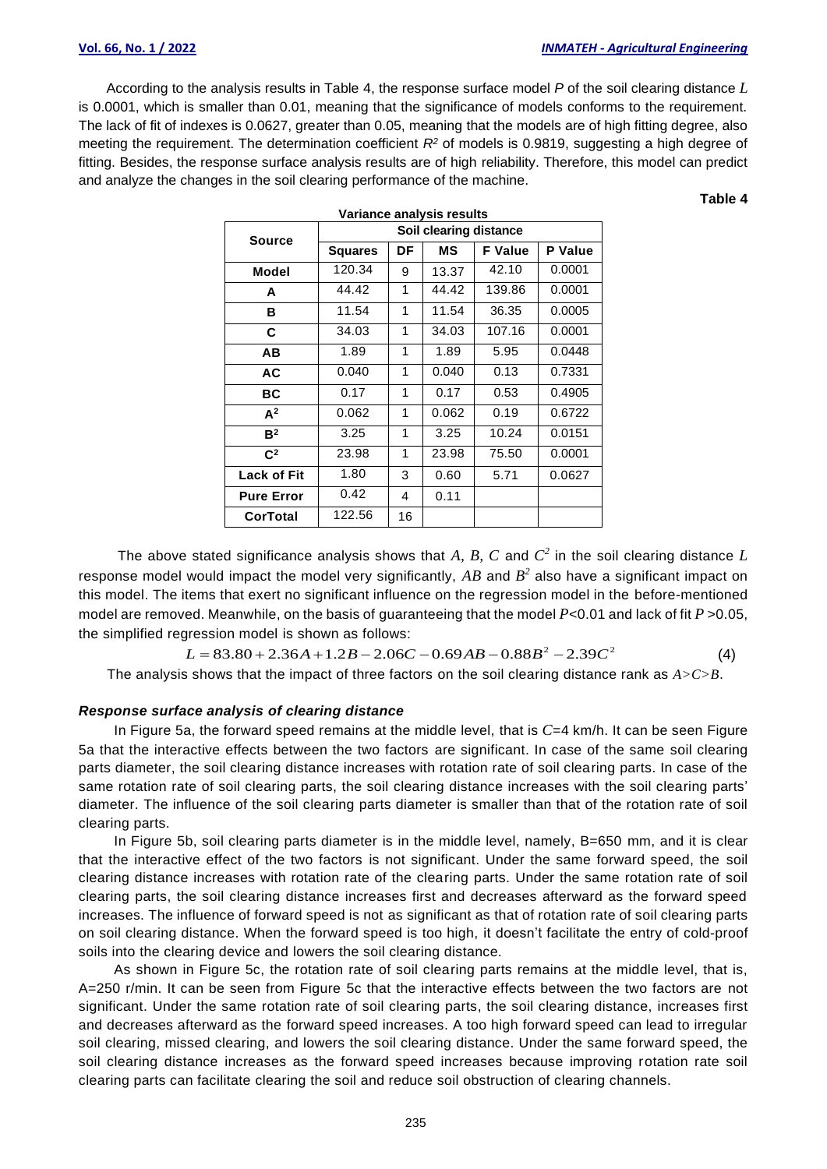According to the analysis results in Table 4, the response surface model *P* of the soil clearing distance *L* is 0.0001, which is smaller than 0.01, meaning that the significance of models conforms to the requirement. The lack of fit of indexes is 0.0627, greater than 0.05, meaning that the models are of high fitting degree, also meeting the requirement. The determination coefficient *R<sup>2</sup>* of models is 0.9819, suggesting a high degree of fitting. Besides, the response surface analysis results are of high reliability. Therefore, this model can predict and analyze the changes in the soil clearing performance of the machine.

**Variance analysis results**

**Table 4**

|                   | Validilue dildiyələ resultə |    |       |                |                |  |
|-------------------|-----------------------------|----|-------|----------------|----------------|--|
| <b>Source</b>     | Soil clearing distance      |    |       |                |                |  |
|                   | <b>Squares</b>              | DF | ΜS    | <b>F</b> Value | <b>P</b> Value |  |
| Model             | 120.34                      | 9  | 13.37 | 42.10          | 0.0001         |  |
| A                 | 44.42                       | 1  | 44.42 | 139.86         | 0.0001         |  |
| в                 | 11.54                       | 1  | 11.54 | 36.35          | 0.0005         |  |
| C                 | 34.03                       | 1  | 34.03 | 107.16         | 0.0001         |  |
| ΑВ                | 1.89                        | 1  | 1.89  | 5.95           | 0.0448         |  |
| AC                | 0.040                       | 1  | 0.040 | 0.13           | 0.7331         |  |
| <b>BC</b>         | 0.17                        | 1  | 0.17  | 0.53           | 0.4905         |  |
| $A^2$             | 0.062                       | 1  | 0.062 | 0.19           | 0.6722         |  |
| B <sup>2</sup>    | 3.25                        | 1  | 3.25  | 10.24          | 0.0151         |  |
| $\mathbf{C}^2$    | 23.98                       | 1  | 23.98 | 75.50          | 0.0001         |  |
| Lack of Fit       | 1.80                        | 3  | 0.60  | 5.71           | 0.0627         |  |
| <b>Pure Error</b> | 0.42                        | 4  | 0.11  |                |                |  |
| <b>CorTotal</b>   | 122.56                      | 16 |       |                |                |  |

The above stated significance analysis shows that  $A$ ,  $B$ ,  $C$  and  $C^2$  in the soil clearing distance  $L$ response model would impact the model very significantly,  $AB$  and  $B^2$  also have a significant impact on this model. The items that exert no significant influence on the regression model in the before-mentioned model are removed. Meanwhile, on the basis of guaranteeing that the model *P*<0.01 and lack of fit *P* >0.05, the simplified regression model is shown as follows:<br>  $L = 83.80 + 2.36A + 1.2B - 2.06C - 0.69AB - 0.88B^2 - 2.39C^2$  ( the simplified regression model is shown as follows:

The analysis shows that the impact of three factors on the soil clearing distance rank as *A>C>B*.

#### *Response surface analysis of clearing distance*

In Figure 5a, the forward speed remains at the middle level, that is *C*=4 km/h. It can be seen Figure 5a that the interactive effects between the two factors are significant. In case of the same soil clearing parts diameter, the soil clearing distance increases with rotation rate of soil clearing parts. In case of the same rotation rate of soil clearing parts, the soil clearing distance increases with the soil clearing parts' diameter. The influence of the soil clearing parts diameter is smaller than that of the rotation rate of soil clearing parts.

In Figure 5b, soil clearing parts diameter is in the middle level, namely, B=650 mm, and it is clear that the interactive effect of the two factors is not significant. Under the same forward speed, the soil clearing distance increases with rotation rate of the clearing parts. Under the same rotation rate of soil clearing parts, the soil clearing distance increases first and decreases afterward as the forward speed increases. The influence of forward speed is not as significant as that of rotation rate of soil clearing parts on soil clearing distance. When the forward speed is too high, it doesn't facilitate the entry of cold-proof soils into the clearing device and lowers the soil clearing distance.

As shown in Figure 5c, the rotation rate of soil clearing parts remains at the middle level, that is, A=250 r/min. It can be seen from Figure 5c that the interactive effects between the two factors are not significant. Under the same rotation rate of soil clearing parts, the soil clearing distance, increases first and decreases afterward as the forward speed increases. A too high forward speed can lead to irregular soil clearing, missed clearing, and lowers the soil clearing distance. Under the same forward speed, the soil clearing distance increases as the forward speed increases because improving rotation rate soil clearing parts can facilitate clearing the soil and reduce soil obstruction of clearing channels.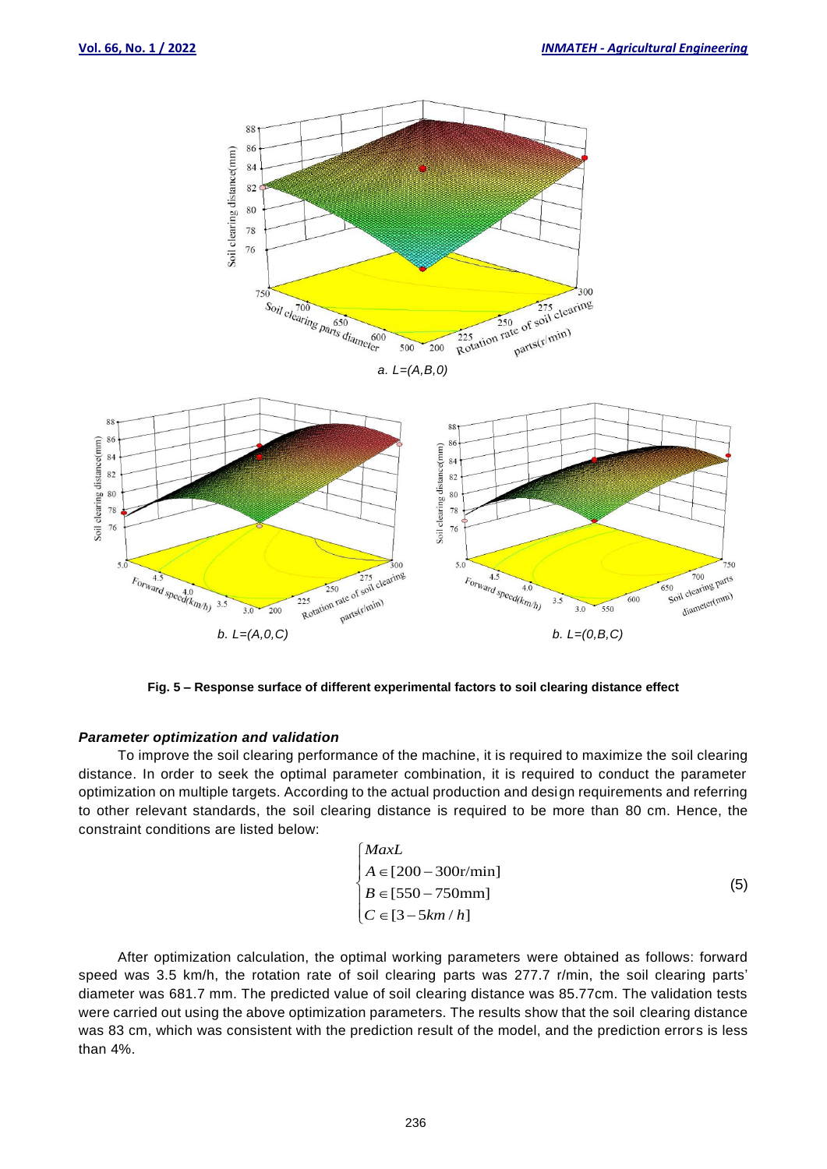

**Fig. 5 – Response surface of different experimental factors to soil clearing distance effect**

#### *Parameter optimization and validation*

To improve the soil clearing performance of the machine, it is required to maximize the soil clearing distance. In order to seek the optimal parameter combination, it is required to conduct the parameter optimization on multiple targets. According to the actual production and design requirements and referring to other relevant standards, the soil clearing distance is required to be more than 80 cm. Hence, the constraint conditions are listed below:

$$
\begin{cases}\nMaxL \\
A \in [200 - 300r/min] \\
B \in [550 - 750mm] \\
C \in [3 - 5km/h]\n\end{cases}
$$
\n(5)

After optimization calculation, the optimal working parameters were obtained as follows: forward speed was 3.5 km/h, the rotation rate of soil clearing parts was 277.7 r/min, the soil clearing parts' diameter was 681.7 mm. The predicted value of soil clearing distance was 85.77cm. The validation tests were carried out using the above optimization parameters. The results show that the soil clearing distance was 83 cm, which was consistent with the prediction result of the model, and the prediction errors is less than 4%.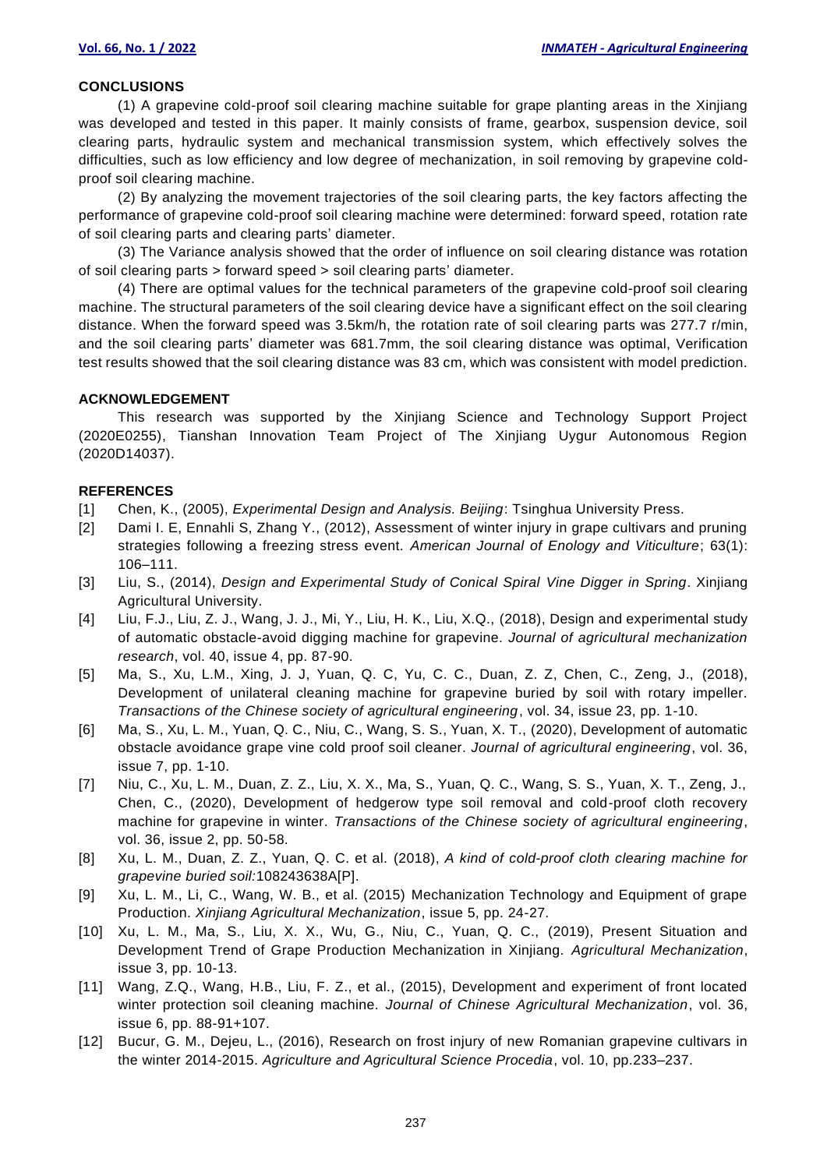#### **CONCLUSIONS**

(1) A grapevine cold-proof soil clearing machine suitable for grape planting areas in the Xinjiang was developed and tested in this paper. It mainly consists of frame, gearbox, suspension device, soil clearing parts, hydraulic system and mechanical transmission system, which effectively solves the difficulties, such as low efficiency and low degree of mechanization, in soil removing by grapevine coldproof soil clearing machine.

(2) By analyzing the movement trajectories of the soil clearing parts, the key factors affecting the performance of grapevine cold-proof soil clearing machine were determined: forward speed, rotation rate of soil clearing parts and clearing parts' diameter.

(3) The Variance analysis showed that the order of influence on soil clearing distance was rotation of soil clearing parts > forward speed > soil clearing parts' diameter.

(4) There are optimal values for the technical parameters of the grapevine cold-proof soil clearing machine. The structural parameters of the soil clearing device have a significant effect on the soil clearing distance. When the forward speed was 3.5km/h, the rotation rate of soil clearing parts was 277.7 r/min, and the soil clearing parts' diameter was 681.7mm, the soil clearing distance was optimal, Verification test results showed that the soil clearing distance was 83 cm, which was consistent with model prediction.

#### **ACKNOWLEDGEMENT**

This research was supported by the Xinjiang Science and Technology Support Project (2020E0255), Tianshan Innovation Team Project of The Xinjiang Uygur Autonomous Region (2020D14037).

#### **REFERENCES**

- [1] Chen, K., (2005), *Experimental Design and Analysis. Beijing*: Tsinghua University Press.
- [2] Dami I. E, Ennahli S, Zhang Y., (2012), Assessment of winter injury in grape cultivars and pruning strategies following a freezing stress event. *American Journal of Enology and Viticulture*; 63(1): 106–111.
- [3] Liu, S., (2014), *Design and Experimental Study of Conical Spiral Vine Digger in Spring*. Xinjiang Agricultural University.
- [4] Liu, F.J., Liu, Z. J., Wang, J. J., Mi, Y., Liu, H. K., Liu, X.Q., (2018), Design and experimental study of automatic obstacle-avoid digging machine for grapevine. *Journal of agricultural mechanization research*, vol. 40, issue 4, pp. 87-90.
- [5] Ma, S., Xu, L.M., Xing, J. J, Yuan, Q. C, Yu, C. C., Duan, Z. Z, Chen, C., Zeng, J., (2018), Development of unilateral cleaning machine for grapevine buried by soil with rotary impeller. *Transactions of the Chinese society of agricultural engineering*, vol. 34, issue 23, pp. 1-10.
- [6] Ma, S., Xu, L. M., Yuan, Q. C., Niu, C., Wang, S. S., Yuan, X. T., (2020), Development of automatic obstacle avoidance grape vine cold proof soil cleaner. *Journal of agricultural engineering*, vol. 36, issue 7, pp. 1-10.
- [7] Niu, C., Xu, L. M., Duan, Z. Z., Liu, X. X., Ma, S., Yuan, Q. C., Wang, S. S., Yuan, X. T., Zeng, J., Chen, C., (2020), Development of hedgerow type soil removal and cold-proof cloth recovery machine for grapevine in winter. *Transactions of the Chinese society of agricultural engineering*, vol. 36, issue 2, pp. 50-58.
- [8] Xu, L. M., Duan, Z. Z., Yuan, Q. C. et al. (2018), *A kind of cold-proof cloth clearing machine for grapevine buried soil:*108243638A[P].
- [9] Xu, L. M., Li, C., Wang, W. B., et al. (2015) Mechanization Technology and Equipment of grape Production. *Xinjiang Agricultural Mechanization*, issue 5, pp. 24-27.
- [10] Xu, L. M., Ma, S., Liu, X. X., Wu, G., Niu, C., Yuan, Q. C., (2019), Present Situation and Development Trend of Grape Production Mechanization in Xinjiang. *Agricultural Mechanization*, issue 3, pp. 10-13.
- [11] Wang, Z.Q., Wang, H.B., Liu, F. Z., et al., (2015), Development and experiment of front located winter protection soil cleaning machine. *Journal of Chinese Agricultural Mechanization*, vol. 36, issue 6, pp. 88-91+107.
- [12] Bucur, G. M., Dejeu, L., (2016), Research on frost injury of new Romanian grapevine cultivars in the winter 2014-2015. *Agriculture and Agricultural Science Procedia*, vol. 10, pp.233–237.